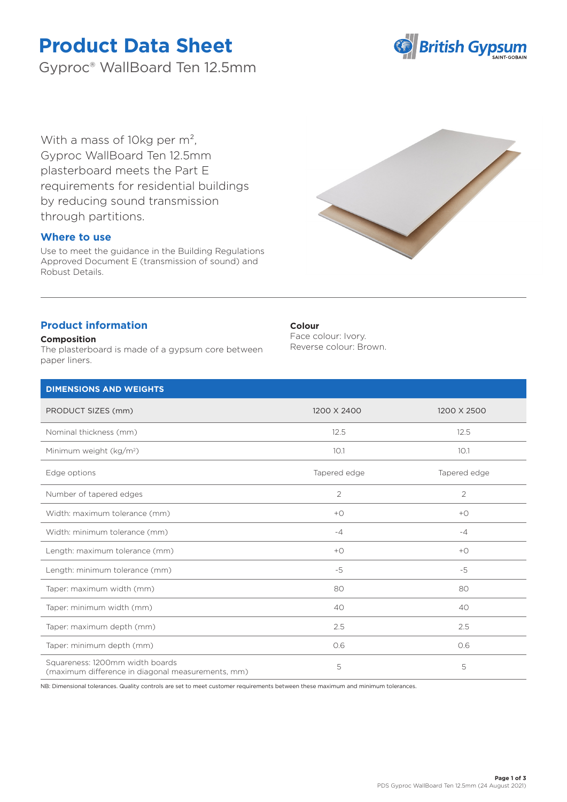# **Product Data Sheet**

Gyproc® WallBoard Ten 12.5mm



With a mass of 10kg per m<sup>2</sup>, Gyproc WallBoard Ten 12.5mm plasterboard meets the Part E requirements for residential buildings by reducing sound transmission through partitions.

# **Where to use**

Use to meet the guidance in the Building Regulations Approved Document E (transmission of sound) and Robust Details.



# **Product information**

## **Composition**

The plasterboard is made of a gypsum core between paper liners.

## **Colour**

Face colour: Ivory. Reverse colour: Brown.

| <b>DIMENSIONS AND WEIGHTS</b>                                                        |                |                |
|--------------------------------------------------------------------------------------|----------------|----------------|
| PRODUCT SIZES (mm)                                                                   | 1200 X 2400    | 1200 X 2500    |
| Nominal thickness (mm)                                                               | 12.5           | 12.5           |
| Minimum weight (kg/m <sup>2</sup> )                                                  | 10.1           | 10.1           |
| Edge options                                                                         | Tapered edge   | Tapered edge   |
| Number of tapered edges                                                              | $\overline{2}$ | $\overline{2}$ |
| Width: maximum tolerance (mm)                                                        | $+O$           | $+$ $\bigcirc$ |
| Width: minimum tolerance (mm)                                                        | $-4$           | $-4$           |
| Length: maximum tolerance (mm)                                                       | $+O$           | $+$ $\bigcirc$ |
| Length: minimum tolerance (mm)                                                       | $-5$           | $-5$           |
| Taper: maximum width (mm)                                                            | 80             | 80             |
| Taper: minimum width (mm)                                                            | 40             | 40             |
| Taper: maximum depth (mm)                                                            | 2.5            | 2.5            |
| Taper: minimum depth (mm)                                                            | 0.6            | 0.6            |
| Squareness: 1200mm width boards<br>(maximum difference in diagonal measurements, mm) | 5              | 5              |

NB: Dimensional tolerances. Quality controls are set to meet customer requirements between these maximum and minimum tolerances.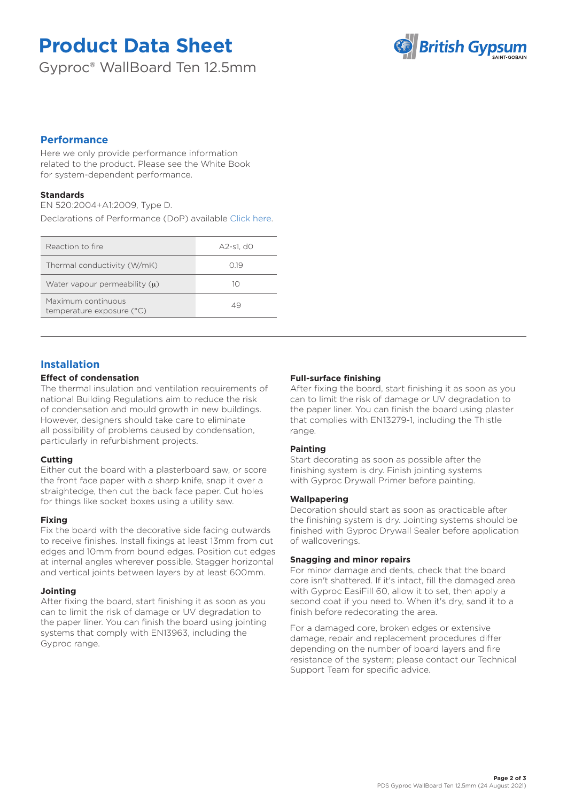# **Product Data Sheet**

Gyproc® WallBoard Ten 12.5mm



# **Performance**

Here we only provide performance information related to the product. Please see the White Book for system-dependent performance.

## **Standards**

EN 520:2004+A1:2009, Type D.

Declarations of Performance (DoP) available [Click here.](https://www.british-gypsum.com/DoP)

| Reaction to fire                                | A2-s1. d0 |
|-------------------------------------------------|-----------|
| Thermal conductivity (W/mK)                     | O 19      |
| Water vapour permeability $(u)$                 | 10        |
| Maximum continuous<br>temperature exposure (°C) | 49        |

# **Installation**

## **Effect of condensation**

The thermal insulation and ventilation requirements of national Building Regulations aim to reduce the risk of condensation and mould growth in new buildings. However, designers should take care to eliminate all possibility of problems caused by condensation, particularly in refurbishment projects.

## **Cutting**

Either cut the board with a plasterboard saw, or score the front face paper with a sharp knife, snap it over a straightedge, then cut the back face paper. Cut holes for things like socket boxes using a utility saw.

## **Fixing**

Fix the board with the decorative side facing outwards to receive finishes. Install fixings at least 13mm from cut edges and 10mm from bound edges. Position cut edges at internal angles wherever possible. Stagger horizontal and vertical joints between layers by at least 600mm.

## **Jointing**

After fixing the board, start finishing it as soon as you can to limit the risk of damage or UV degradation to the paper liner. You can finish the board using jointing systems that comply with EN13963, including the Gyproc range.

## **Full-surface finishing**

After fixing the board, start finishing it as soon as you can to limit the risk of damage or UV degradation to the paper liner. You can finish the board using plaster that complies with EN13279-1, including the Thistle range.

## **Painting**

Start decorating as soon as possible after the finishing system is dry. Finish jointing systems with Gyproc Drywall Primer before painting.

#### **Wallpapering**

Decoration should start as soon as practicable after the finishing system is dry. Jointing systems should be finished with Gyproc Drywall Sealer before application of wallcoverings.

#### **Snagging and minor repairs**

For minor damage and dents, check that the board core isn't shattered. If it's intact, fill the damaged area with Gyproc EasiFill 60, allow it to set, then apply a second coat if you need to. When it's dry, sand it to a finish before redecorating the area.

For a damaged core, broken edges or extensive damage, repair and replacement procedures differ depending on the number of board layers and fire resistance of the system; please contact our Technical Support Team for specific advice.